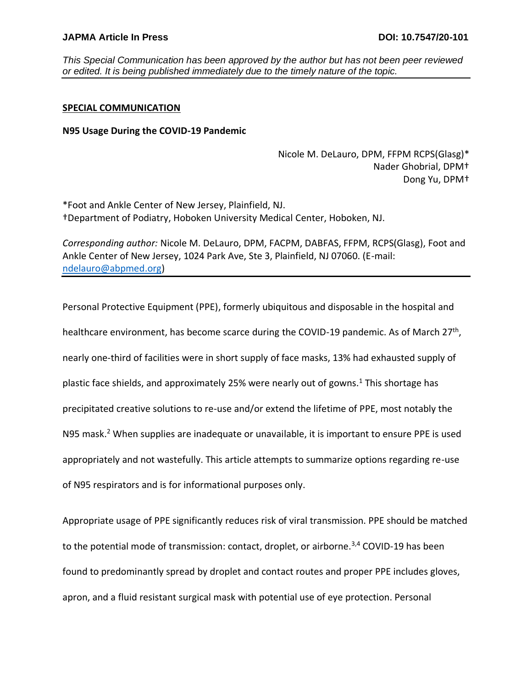*This Special Communication has been approved by the author but has not been peer reviewed or edited. It is being published immediately due to the timely nature of the topic.* 

## **SPECIAL COMMUNICATION**

## **N95 Usage During the COVID-19 Pandemic**

Nicole M. DeLauro, DPM, FFPM RCPS(Glasg)\* Nader Ghobrial, DPM† Dong Yu, DPM†

\*Foot and Ankle Center of New Jersey, Plainfield, NJ. †Department of Podiatry, Hoboken University Medical Center, Hoboken, NJ.

*Corresponding author:* Nicole M. DeLauro, DPM, FACPM, DABFAS, FFPM, RCPS(Glasg), Foot and Ankle Center of New Jersey, 1024 Park Ave, Ste 3, Plainfield, NJ 07060. (E-mail: [ndelauro@abpmed.org\)](mailto:ndelauro@abpmed.org)

Personal Protective Equipment (PPE), formerly ubiquitous and disposable in the hospital and healthcare environment, has become scarce during the COVID-19 pandemic. As of March 27<sup>th</sup>, nearly one-third of facilities were in short supply of face masks, 13% had exhausted supply of plastic face shields, and approximately 25% were nearly out of gowns.<sup>1</sup> This shortage has precipitated creative solutions to re-use and/or extend the lifetime of PPE, most notably the N95 mask.<sup>2</sup> When supplies are inadequate or unavailable, it is important to ensure PPE is used appropriately and not wastefully. This article attempts to summarize options regarding re-use of N95 respirators and is for informational purposes only.

Appropriate usage of PPE significantly reduces risk of viral transmission. PPE should be matched to the potential mode of transmission: contact, droplet, or airborne.<sup>3,4</sup> COVID-19 has been found to predominantly spread by droplet and contact routes and proper PPE includes gloves, apron, and a fluid resistant surgical mask with potential use of eye protection. Personal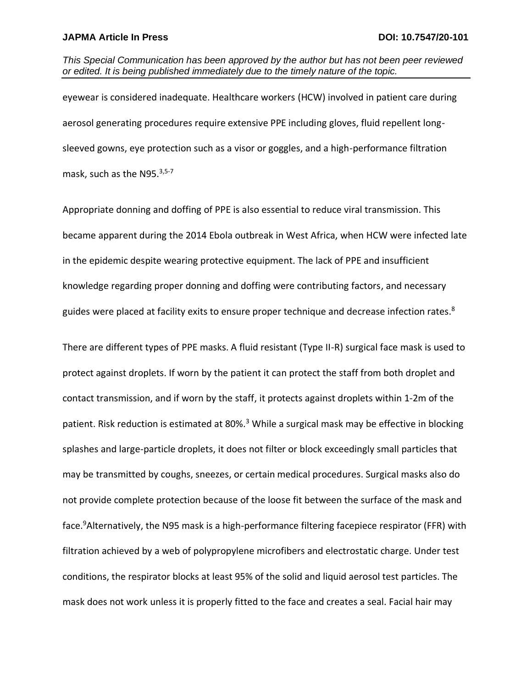*This Special Communication has been approved by the author but has not been peer reviewed or edited. It is being published immediately due to the timely nature of the topic.* 

eyewear is considered inadequate. Healthcare workers (HCW) involved in patient care during aerosol generating procedures require extensive PPE including gloves, fluid repellent longsleeved gowns, eye protection such as a visor or goggles, and a high-performance filtration mask, such as the N95.<sup>3,5-7</sup>

Appropriate donning and doffing of PPE is also essential to reduce viral transmission. This became apparent during the 2014 Ebola outbreak in West Africa, when HCW were infected late in the epidemic despite wearing protective equipment. The lack of PPE and insufficient knowledge regarding proper donning and doffing were contributing factors, and necessary guides were placed at facility exits to ensure proper technique and decrease infection rates.<sup>8</sup>

There are different types of PPE masks. A fluid resistant (Type II-R) surgical face mask is used to protect against droplets. If worn by the patient it can protect the staff from both droplet and contact transmission, and if worn by the staff, it protects against droplets within 1-2m of the patient. Risk reduction is estimated at 80%.<sup>3</sup> While a surgical mask may be effective in blocking splashes and large-particle droplets, it does not filter or block exceedingly small particles that may be transmitted by coughs, sneezes, or certain medical procedures. Surgical masks also do not provide complete protection because of the loose fit between the surface of the mask and face.<sup>9</sup>Alternatively, the N95 mask is a high-performance filtering facepiece respirator (FFR) with filtration achieved by a web of polypropylene microfibers and electrostatic charge. Under test conditions, the respirator blocks at least 95% of the solid and liquid aerosol test particles. The mask does not work unless it is properly fitted to the face and creates a seal. Facial hair may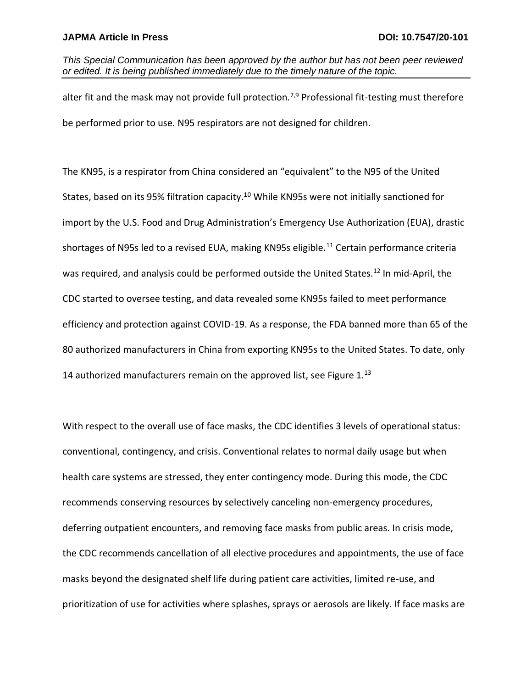*This Special Communication has been approved by the author but has not been peer reviewed or edited. It is being published immediately due to the timely nature of the topic.* 

alter fit and the mask may not provide full protection.<sup>7,9</sup> Professional fit-testing must therefore be performed prior to use. N95 respirators are not designed for children.

The KN95, is a respirator from China considered an "equivalent" to the N95 of the United States, based on its 95% filtration capacity.<sup>10</sup> While KN95s were not initially sanctioned for import by the U.S. Food and Drug Administration's Emergency Use Authorization (EUA), drastic shortages of N95s led to a revised EUA, making KN95s eligible.<sup>11</sup> Certain performance criteria was required, and analysis could be performed outside the United States.<sup>12</sup> In mid-April, the CDC started to oversee testing, and data revealed some KN95s failed to meet performance efficiency and protection against COVID-19. As a response, the FDA banned more than 65 of the 80 authorized manufacturers in China from exporting KN95s to the United States. To date, only 14 authorized manufacturers remain on the approved list, see Figure  $1<sup>13</sup>$ 

With respect to the overall use of face masks, the CDC identifies 3 levels of operational status: conventional, contingency, and crisis. Conventional relates to normal daily usage but when health care systems are stressed, they enter contingency mode. During this mode, the CDC recommends conserving resources by selectively canceling non-emergency procedures, deferring outpatient encounters, and removing face masks from public areas. In crisis mode, the CDC recommends cancellation of all elective procedures and appointments, the use of face masks beyond the designated shelf life during patient care activities, limited re-use, and prioritization of use for activities where splashes, sprays or aerosols are likely. If face masks are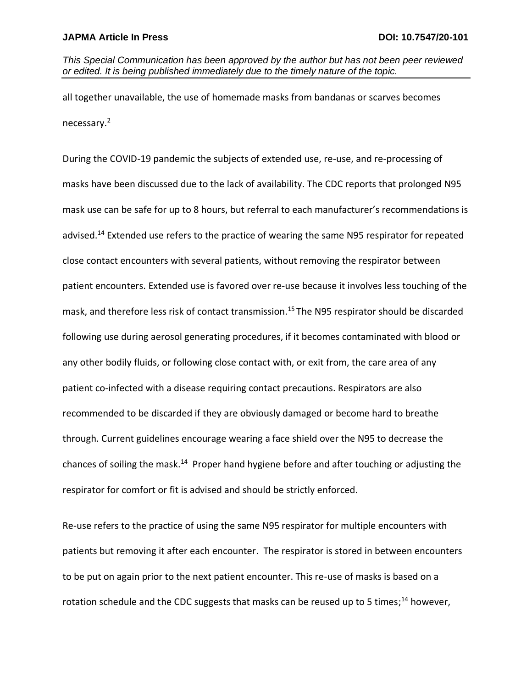*This Special Communication has been approved by the author but has not been peer reviewed or edited. It is being published immediately due to the timely nature of the topic.* 

all together unavailable, the use of homemade masks from bandanas or scarves becomes necessary.<sup>2</sup>

During the COVID-19 pandemic the subjects of extended use, re-use, and re-processing of masks have been discussed due to the lack of availability. The CDC reports that prolonged N95 mask use can be safe for up to 8 hours, but referral to each manufacturer's recommendations is advised.<sup>14</sup> Extended use refers to the practice of wearing the same N95 respirator for repeated close contact encounters with several patients, without removing the respirator between patient encounters. Extended use is favored over re-use because it involves less touching of the mask, and therefore less risk of contact transmission.<sup>15</sup> The N95 respirator should be discarded following use during aerosol generating procedures, if it becomes contaminated with blood or any other bodily fluids, or following close contact with, or exit from, the care area of any patient co-infected with a disease requiring contact precautions. Respirators are also recommended to be discarded if they are obviously damaged or become hard to breathe through. Current guidelines encourage wearing a face shield over the N95 to decrease the chances of soiling the mask.<sup>14</sup> Proper hand hygiene before and after touching or adjusting the respirator for comfort or fit is advised and should be strictly enforced.

Re-use refers to the practice of using the same N95 respirator for multiple encounters with patients but removing it after each encounter. The respirator is stored in between encounters to be put on again prior to the next patient encounter. This re-use of masks is based on a rotation schedule and the CDC suggests that masks can be reused up to 5 times;<sup>14</sup> however,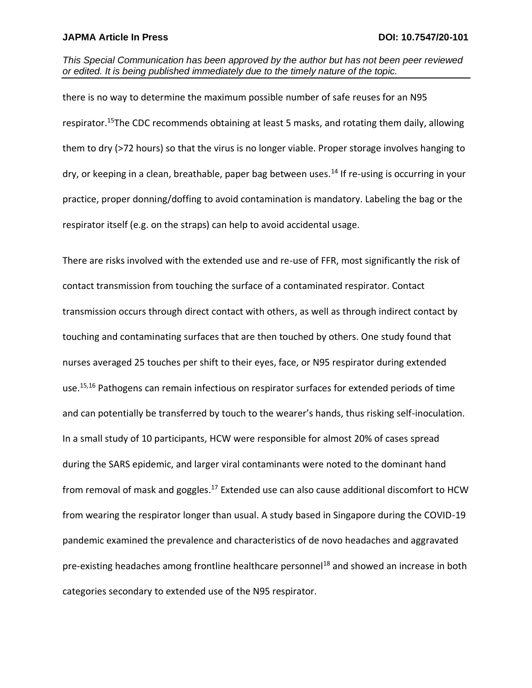*This Special Communication has been approved by the author but has not been peer reviewed or edited. It is being published immediately due to the timely nature of the topic.* 

there is no way to determine the maximum possible number of safe reuses for an N95 respirator.<sup>15</sup>The CDC recommends obtaining at least 5 masks, and rotating them daily, allowing them to dry (>72 hours) so that the virus is no longer viable. Proper storage involves hanging to dry, or keeping in a clean, breathable, paper bag between uses.<sup>14</sup> If re-using is occurring in your practice, proper donning/doffing to avoid contamination is mandatory. Labeling the bag or the respirator itself (e.g. on the straps) can help to avoid accidental usage.

There are risks involved with the extended use and re-use of FFR, most significantly the risk of contact transmission from touching the surface of a contaminated respirator. Contact transmission occurs through direct contact with others, as well as through indirect contact by touching and contaminating surfaces that are then touched by others. One study found that nurses averaged 25 touches per shift to their eyes, face, or N95 respirator during extended use.<sup>15,16</sup> Pathogens can remain infectious on respirator surfaces for extended periods of time and can potentially be transferred by touch to the wearer's hands, thus risking self-inoculation. In a small study of 10 participants, HCW were responsible for almost 20% of cases spread during the SARS epidemic, and larger viral contaminants were noted to the dominant hand from removal of mask and goggles.<sup>17</sup> Extended use can also cause additional discomfort to HCW from wearing the respirator longer than usual. A study based in Singapore during the COVID-19 pandemic examined the prevalence and characteristics of de novo headaches and aggravated pre-existing headaches among frontline healthcare personnel<sup>18</sup> and showed an increase in both categories secondary to extended use of the N95 respirator.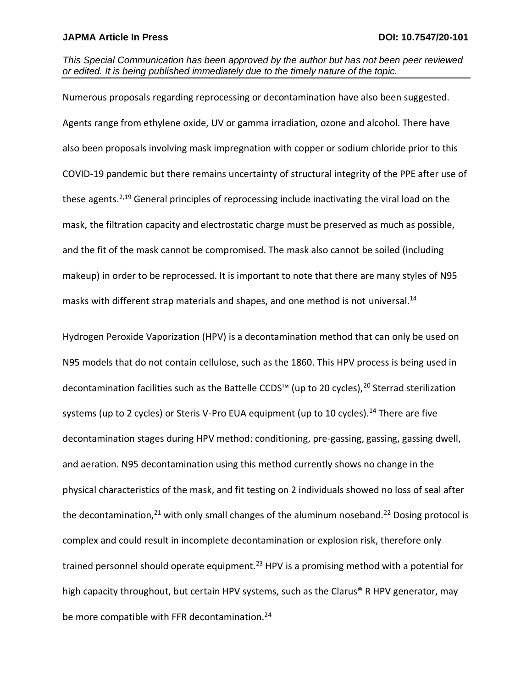*This Special Communication has been approved by the author but has not been peer reviewed or edited. It is being published immediately due to the timely nature of the topic.* 

Numerous proposals regarding reprocessing or decontamination have also been suggested. Agents range from ethylene oxide, UV or gamma irradiation, ozone and alcohol. There have also been proposals involving mask impregnation with copper or sodium chloride prior to this COVID-19 pandemic but there remains uncertainty of structural integrity of the PPE after use of these agents.2,19 General principles of reprocessing include inactivating the viral load on the mask, the filtration capacity and electrostatic charge must be preserved as much as possible, and the fit of the mask cannot be compromised. The mask also cannot be soiled (including makeup) in order to be reprocessed. It is important to note that there are many styles of N95 masks with different strap materials and shapes, and one method is not universal. 14

Hydrogen Peroxide Vaporization (HPV) is a decontamination method that can only be used on N95 models that do not contain cellulose, such as the 1860. This HPV process is being used in decontamination facilities such as the Battelle CCDS™ (up to 20 cycles),<sup>20</sup> Sterrad sterilization systems (up to 2 cycles) or Steris V-Pro EUA equipment (up to 10 cycles).<sup>14</sup> There are five decontamination stages during HPV method: conditioning, pre-gassing, gassing, gassing dwell, and aeration. N95 decontamination using this method currently shows no change in the physical characteristics of the mask, and fit testing on 2 individuals showed no loss of seal after the decontamination, $21$  with only small changes of the aluminum noseband.<sup>22</sup> Dosing protocol is complex and could result in incomplete decontamination or explosion risk, therefore only trained personnel should operate equipment.<sup>23</sup> HPV is a promising method with a potential for high capacity throughout, but certain HPV systems, such as the Clarus® R HPV generator, may be more compatible with FFR decontamination.<sup>24</sup>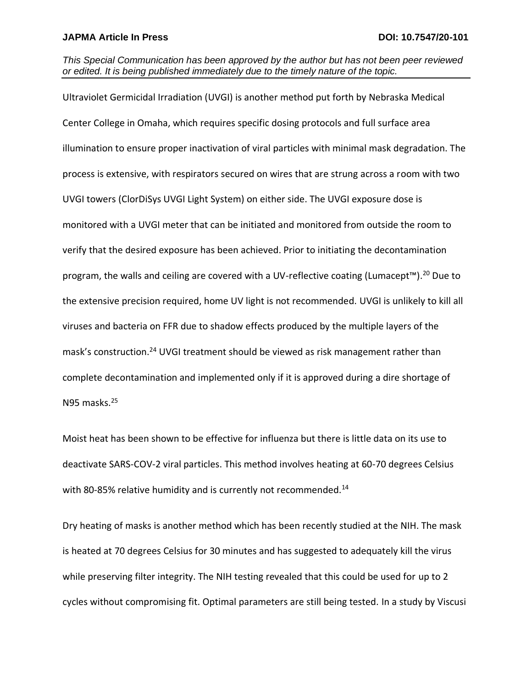*This Special Communication has been approved by the author but has not been peer reviewed or edited. It is being published immediately due to the timely nature of the topic.* 

Ultraviolet Germicidal Irradiation (UVGI) is another method put forth by Nebraska Medical Center College in Omaha, which requires specific dosing protocols and full surface area illumination to ensure proper inactivation of viral particles with minimal mask degradation. The process is extensive, with respirators secured on wires that are strung across a room with two UVGI towers (ClorDiSys UVGI Light System) on either side. The UVGI exposure dose is monitored with a UVGI meter that can be initiated and monitored from outside the room to verify that the desired exposure has been achieved. Prior to initiating the decontamination program, the walls and ceiling are covered with a UV-reflective coating (Lumacept<sup>™)</sup>.<sup>20</sup> Due to the extensive precision required, home UV light is not recommended. UVGI is unlikely to kill all viruses and bacteria on FFR due to shadow effects produced by the multiple layers of the mask's construction.<sup>24</sup> UVGI treatment should be viewed as risk management rather than complete decontamination and implemented only if it is approved during a dire shortage of N95 masks.<sup>25</sup>

Moist heat has been shown to be effective for influenza but there is little data on its use to deactivate SARS-COV-2 viral particles. This method involves heating at 60-70 degrees Celsius with 80-85% relative humidity and is currently not recommended.<sup>14</sup>

Dry heating of masks is another method which has been recently studied at the NIH. The mask is heated at 70 degrees Celsius for 30 minutes and has suggested to adequately kill the virus while preserving filter integrity. The NIH testing revealed that this could be used for up to 2 cycles without compromising fit. Optimal parameters are still being tested. In a study by Viscusi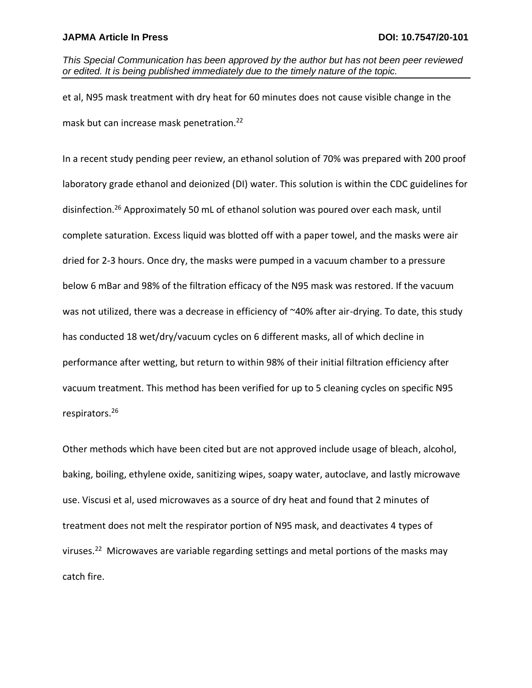*This Special Communication has been approved by the author but has not been peer reviewed or edited. It is being published immediately due to the timely nature of the topic.* 

et al, N95 mask treatment with dry heat for 60 minutes does not cause visible change in the mask but can increase mask penetration.<sup>22</sup>

In a recent study pending peer review, an ethanol solution of 70% was prepared with 200 proof laboratory grade ethanol and deionized (DI) water. This solution is within the CDC guidelines for disinfection.<sup>26</sup> Approximately 50 mL of ethanol solution was poured over each mask, until complete saturation. Excess liquid was blotted off with a paper towel, and the masks were air dried for 2-3 hours. Once dry, the masks were pumped in a vacuum chamber to a pressure below 6 mBar and 98% of the filtration efficacy of the N95 mask was restored. If the vacuum was not utilized, there was a decrease in efficiency of ~40% after air-drying. To date, this study has conducted 18 wet/dry/vacuum cycles on 6 different masks, all of which decline in performance after wetting, but return to within 98% of their initial filtration efficiency after vacuum treatment. This method has been verified for up to 5 cleaning cycles on specific N95 respirators.<sup>26</sup>

Other methods which have been cited but are not approved include usage of bleach, alcohol, baking, boiling, ethylene oxide, sanitizing wipes, soapy water, autoclave, and lastly microwave use. Viscusi et al, used microwaves as a source of dry heat and found that 2 minutes of treatment does not melt the respirator portion of N95 mask, and deactivates 4 types of viruses.<sup>22</sup> Microwaves are variable regarding settings and metal portions of the masks may catch fire.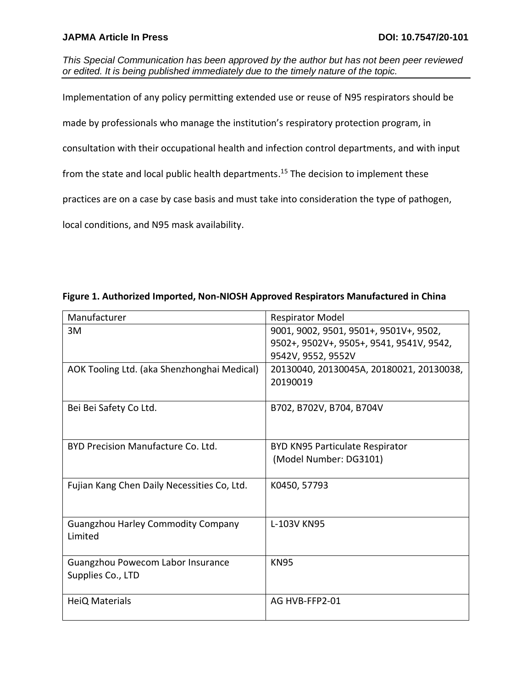## **JAPMA Article In Press 2018 10.7547/20-101**

*This Special Communication has been approved by the author but has not been peer reviewed or edited. It is being published immediately due to the timely nature of the topic.* 

Implementation of any policy permitting extended use or reuse of N95 respirators should be

made by professionals who manage the institution's respiratory protection program, in

consultation with their occupational health and infection control departments, and with input

from the state and local public health departments.<sup>15</sup> The decision to implement these

practices are on a case by case basis and must take into consideration the type of pathogen,

local conditions, and N95 mask availability.

| Manufacturer                                | <b>Respirator Model</b>                  |
|---------------------------------------------|------------------------------------------|
| 3M                                          | 9001, 9002, 9501, 9501+, 9501V+, 9502,   |
|                                             | 9502+, 9502V+, 9505+, 9541, 9541V, 9542, |
|                                             | 9542V, 9552, 9552V                       |
| AOK Tooling Ltd. (aka Shenzhonghai Medical) | 20130040, 20130045A, 20180021, 20130038, |
|                                             | 20190019                                 |
|                                             |                                          |
| Bei Bei Safety Co Ltd.                      | B702, B702V, B704, B704V                 |
|                                             |                                          |
| BYD Precision Manufacture Co. Ltd.          | <b>BYD KN95 Particulate Respirator</b>   |
|                                             | (Model Number: DG3101)                   |
|                                             |                                          |
| Fujian Kang Chen Daily Necessities Co, Ltd. | K0450, 57793                             |
|                                             |                                          |
|                                             |                                          |
| <b>Guangzhou Harley Commodity Company</b>   | L-103V KN95                              |
| Limited                                     |                                          |
|                                             |                                          |
| Guangzhou Powecom Labor Insurance           | <b>KN95</b>                              |
| Supplies Co., LTD                           |                                          |
| HeiQ Materials                              | AG HVB-FFP2-01                           |
|                                             |                                          |

**Figure 1. Authorized Imported, Non-NIOSH Approved Respirators Manufactured in China**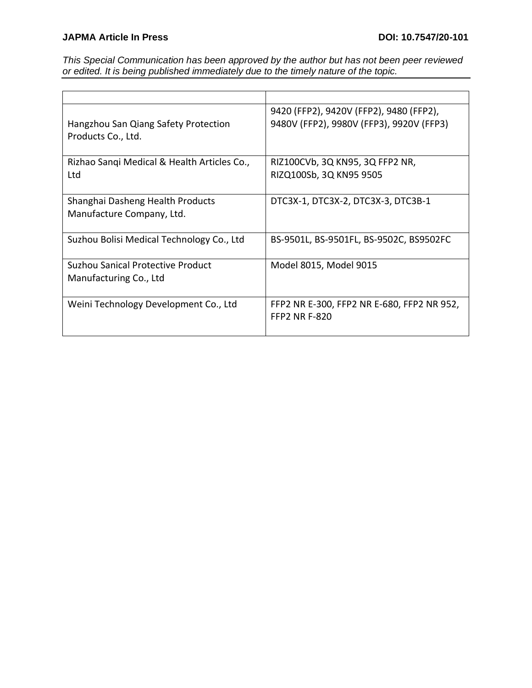*This Special Communication has been approved by the author but has not been peer reviewed or edited. It is being published immediately due to the timely nature of the topic.* 

| Hangzhou San Qiang Safety Protection<br>Products Co., Ltd.    | 9420 (FFP2), 9420V (FFP2), 9480 (FFP2),<br>9480V (FFP2), 9980V (FFP3), 9920V (FFP3) |
|---------------------------------------------------------------|-------------------------------------------------------------------------------------|
| Rizhao Sangi Medical & Health Articles Co.,<br>Ltd            | RIZ100CVb, 3Q KN95, 3Q FFP2 NR,<br>RIZQ100Sb, 3Q KN95 9505                          |
| Shanghai Dasheng Health Products<br>Manufacture Company, Ltd. | DTC3X-1, DTC3X-2, DTC3X-3, DTC3B-1                                                  |
| Suzhou Bolisi Medical Technology Co., Ltd                     | BS-9501L, BS-9501FL, BS-9502C, BS9502FC                                             |
| Suzhou Sanical Protective Product<br>Manufacturing Co., Ltd   | Model 8015, Model 9015                                                              |
| Weini Technology Development Co., Ltd                         | FFP2 NR E-300, FFP2 NR E-680, FFP2 NR 952,<br><b>FFP2 NR F-820</b>                  |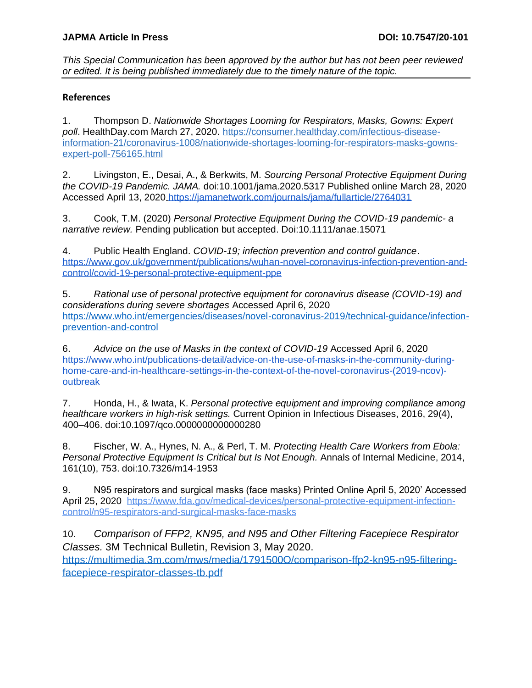*This Special Communication has been approved by the author but has not been peer reviewed or edited. It is being published immediately due to the timely nature of the topic.* 

# **References**

1. Thompson D. *Nationwide Shortages Looming for Respirators, Masks, Gowns: Expert poll*. HealthDay.com March 27, 2020. [https://consumer.healthday.com/infectious-disease](https://consumer.healthday.com/infectious-disease-information-21/coronavirus-1008/nationwide-shortages-looming-for-respirators-masks-gowns-expert-poll-756165.html)[information-21/coronavirus-1008/nationwide-shortages-looming-for-respirators-masks-gowns](https://consumer.healthday.com/infectious-disease-information-21/coronavirus-1008/nationwide-shortages-looming-for-respirators-masks-gowns-expert-poll-756165.html)[expert-poll-756165.html](https://consumer.healthday.com/infectious-disease-information-21/coronavirus-1008/nationwide-shortages-looming-for-respirators-masks-gowns-expert-poll-756165.html)

2. Livingston, E., Desai, A., & Berkwits, M. *Sourcing Personal Protective Equipment During the COVID-19 Pandemic. JAMA.* doi:10.1001/jama.2020.5317 Published online March 28, 2020 Accessed April 13, 2020 <https://jamanetwork.com/journals/jama/fullarticle/2764031>

3. Cook, T.M. (2020) *Personal Protective Equipment During the COVID-19 pandemic- a narrative review.* Pending publication but accepted. Doi:10.1111/anae.15071

4. Public Health England. *COVID-19; infection prevention and control guidance*[.](https://www.gov.uk/government/publications/wuhan-novel-coronavirus-infection-prevention-and-control/covid-19-personal-protective-equipment-ppe) [https://www.gov.uk/government/publications/wuhan-novel-coronavirus-infection-prevention-and](https://www.gov.uk/government/publications/wuhan-novel-coronavirus-infection-prevention-and-control/covid-19-personal-protective-equipment-ppe)[control/covid-19-personal-protective-equipment-ppe](https://www.gov.uk/government/publications/wuhan-novel-coronavirus-infection-prevention-and-control/covid-19-personal-protective-equipment-ppe)

5. *Rational use of personal protective equipment for coronavirus disease (COVID-19) and considerations during severe shortages* Accessed April 6, 2020 [https://www.who.int/emergencies/diseases/novel-coronavirus-2019/technical-guidance/infection](https://www.who.int/emergencies/diseases/novel-coronavirus-2019/technical-guidance/infection-prevention-and-control)[prevention-and-control](https://www.who.int/emergencies/diseases/novel-coronavirus-2019/technical-guidance/infection-prevention-and-control)

6. *Advice on the use of Masks in the context of COVID-19* Accessed April 6, 202[0](https://www.who.int/publications-detail/advice-on-the-use-of-masks-in-the-community-during-home-care-and-in-healthcare-settings-in-the-context-of-the-novel-coronavirus-(2019-ncov)-outbreak) [https://www.who.int/publications-detail/advice-on-the-use-of-masks-in-the-community-during](https://www.who.int/publications-detail/advice-on-the-use-of-masks-in-the-community-during-home-care-and-in-healthcare-settings-in-the-context-of-the-novel-coronavirus-(2019-ncov)-outbreak)[home-care-and-in-healthcare-settings-in-the-context-of-the-novel-coronavirus-\(2019-ncov\)](https://www.who.int/publications-detail/advice-on-the-use-of-masks-in-the-community-during-home-care-and-in-healthcare-settings-in-the-context-of-the-novel-coronavirus-(2019-ncov)-outbreak) [outbreak](https://www.who.int/publications-detail/advice-on-the-use-of-masks-in-the-community-during-home-care-and-in-healthcare-settings-in-the-context-of-the-novel-coronavirus-(2019-ncov)-outbreak)

7. Honda, H., & Iwata, K. *Personal protective equipment and improving compliance among healthcare workers in high-risk settings.* Current Opinion in Infectious Diseases, 2016, 29(4), 400–406. doi:10.1097/qco.0000000000000280

8. Fischer, W. A., Hynes, N. A., & Perl, T. M. *Protecting Health Care Workers from Ebola: Personal Protective Equipment Is Critical but Is Not Enough.* Annals of Internal Medicine, 2014, 161(10), 753. doi:10.7326/m14-1953

9. N95 respirators and surgical masks (face masks) Printed Online April 5, 2020' Accessed April 25, 2020 [https://www.fda.gov/medical-devices/personal-protective-equipment-infection](https://www.fda.gov/medical-devices/personal-protective-equipment-infection-control/n95-respirators-and-surgical-masks-face-masks)[control/n95-respirators-and-surgical-masks-face-masks](https://www.fda.gov/medical-devices/personal-protective-equipment-infection-control/n95-respirators-and-surgical-masks-face-masks)

10. *Comparison of FFP2, KN95, and N95 and Other Filtering Facepiece Respirator Classes.* 3M Technical Bulletin, Revision 3, May 2020. [https://multimedia.3m.com/mws/media/1791500O/comparison-ffp2-kn95-n95-filtering](https://multimedia.3m.com/mws/media/1791500O/comparison-ffp2-kn95-n95-filtering-facepiece-respirator-classes-tb.pdf)[facepiece-respirator-classes-tb.pdf](https://multimedia.3m.com/mws/media/1791500O/comparison-ffp2-kn95-n95-filtering-facepiece-respirator-classes-tb.pdf)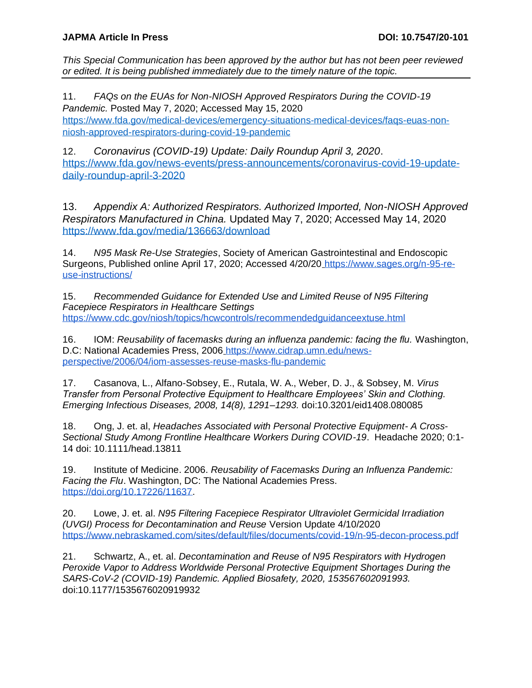*This Special Communication has been approved by the author but has not been peer reviewed or edited. It is being published immediately due to the timely nature of the topic.* 

11. *FAQs on the EUAs for Non-NIOSH Approved Respirators During the COVID-19 Pandemic.* Posted May 7, 2020; Accessed May 15, 2020 [https://www.fda.gov/medical-devices/emergency-situations-medical-devices/faqs-euas-non](https://www.fda.gov/medical-devices/emergency-situations-medical-devices/faqs-euas-non-niosh-approved-respirators-during-covid-19-pandemic)[niosh-approved-respirators-during-covid-19-pandemic](https://www.fda.gov/medical-devices/emergency-situations-medical-devices/faqs-euas-non-niosh-approved-respirators-during-covid-19-pandemic) 

12. *Coronavirus (COVID-19) Update: Daily Roundup April 3, 2020*. [https://www.fda.gov/news-events/press-announcements/coronavirus-covid-19-update](https://www.fda.gov/news-events/press-announcements/coronavirus-covid-19-update-daily-roundup-april-3-2020)[daily-roundup-april-3-2020](https://www.fda.gov/news-events/press-announcements/coronavirus-covid-19-update-daily-roundup-april-3-2020)

13. *Appendix A: Authorized Respirators. Authorized Imported, Non-NIOSH Approved Respirators Manufactured in China.* Updated May 7, 2020; Accessed May 14, 2020 <https://www.fda.gov/media/136663/download>

14. *N95 Mask Re-Use Strategies*, Society of American Gastrointestinal and Endoscopic Surgeons, Published online April 17, 2020; Accessed 4/20/20 [https://www.sages.org/n-95-re](https://www.sages.org/n-95-re-use-instructions/)[use-instructions/](https://www.sages.org/n-95-re-use-instructions/)

15. *Recommended Guidance for Extended Use and Limited Reuse of N95 Filtering Facepiece Respirators in Healthcare Setting[s](https://www.cdc.gov/niosh/topics/hcwcontrols/recommendedguidanceextuse.html)* <https://www.cdc.gov/niosh/topics/hcwcontrols/recommendedguidanceextuse.html>

16. IOM: *Reusability of facemasks during an influenza pandemic: facing the flu.* Washington, D.C: National Academies Press, 2006 [https://www.cidrap.umn.edu/news](https://www.cidrap.umn.edu/news-perspective/2006/04/iom-assesses-reuse-masks-flu-pandemic)[perspective/2006/04/iom-assesses-reuse-masks-flu-pandemic](https://www.cidrap.umn.edu/news-perspective/2006/04/iom-assesses-reuse-masks-flu-pandemic)

17. Casanova, L., Alfano-Sobsey, E., Rutala, W. A., Weber, D. J., & Sobsey, M. *Virus Transfer from Personal Protective Equipment to Healthcare Employees' Skin and Clothing. Emerging Infectious Diseases, 2008, 14(8), 1291–1293.* doi:10.3201/eid1408.080085

18. Ong, J. et. al, *Headaches Associated with Personal Protective Equipment- A Cross-Sectional Study Among Frontline Healthcare Workers During COVID-19*. Headache 2020; 0:1- 14 doi: 10.1111/head.13811

19. Institute of Medicine. 2006. *Reusability of Facemasks During an Influenza Pandemic: Facing the Flu*. Washington, DC: The National Academies Press[.](https://doi.org/10.17226/11637) [https://doi.org/10.17226/11637.](https://doi.org/10.17226/11637)

20. Lowe, J. et. al. *N95 Filtering Facepiece Respirator Ultraviolet Germicidal Irradiation (UVGI) Process for Decontamination and Reuse* Version Update 4/10/202[0](https://www.nebraskamed.com/sites/default/files/documents/covid-19/n-95-decon-process.pdf) <https://www.nebraskamed.com/sites/default/files/documents/covid-19/n-95-decon-process.pdf>

21. Schwartz, A., et. al. *Decontamination and Reuse of N95 Respirators with Hydrogen Peroxide Vapor to Address Worldwide Personal Protective Equipment Shortages During the SARS-CoV-2 (COVID-19) Pandemic. Applied Biosafety, 2020, 153567602091993.* doi:10.1177/1535676020919932